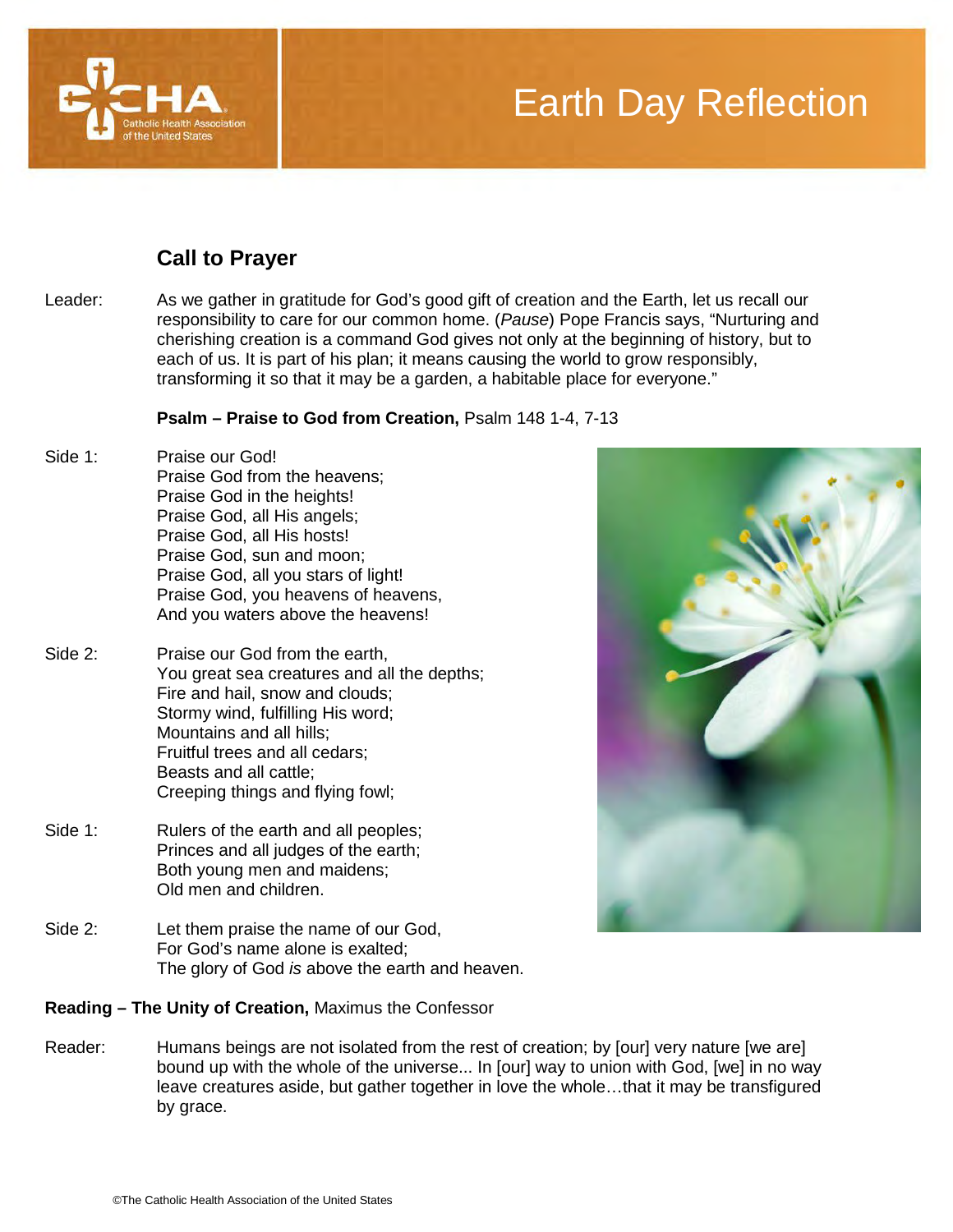

# Earth Day Reflection

## **Call to Prayer**

Leader: As we gather in gratitude for God's good gift of creation and the Earth, let us recall our responsibility to care for our common home. (*Pause*) Pope Francis says, "Nurturing and cherishing creation is a command God gives not only at the beginning of history, but to each of us. It is part of his plan; it means causing the world to grow responsibly, transforming it so that it may be a garden, a habitable place for everyone."

#### **Psalm – Praise to God from Creation,** Psalm 148 1-4, 7-13

- Side 1: Praise our God! Praise God from the heavens; Praise God in the heights! Praise God, all His angels; Praise God, all His hosts! Praise God, sun and moon; Praise God, all you stars of light! Praise God, you heavens of heavens, And you waters above the heavens!
- Side 2: Praise our God from the earth, You great sea creatures and all the depths; Fire and hail, snow and clouds; Stormy wind, fulfilling His word; Mountains and all hills; Fruitful trees and all cedars; Beasts and all cattle; Creeping things and flying fowl;
- Side 1: Rulers of the earth and all peoples; Princes and all judges of the earth; Both young men and maidens; Old men and children.
- Side 2: Let them praise the name of our God, For God's name alone is exalted; The glory of God *is* above the earth and heaven.

### **Reading – The Unity of Creation,** Maximus the Confessor

Reader: Humans beings are not isolated from the rest of creation; by [our] very nature [we are] bound up with the whole of the universe... In [our] way to union with God, [we] in no way leave creatures aside, but gather together in love the whole…that it may be transfigured by grace.